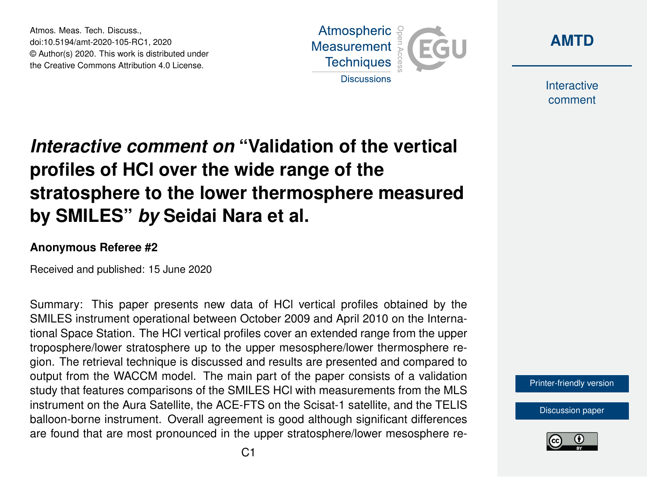Atmos. Meas. Tech. Discuss., doi:10.5194/amt-2020-105-RC1, 2020 © Author(s) 2020. This work is distributed under the Creative Commons Attribution 4.0 License.





**Interactive** comment

## *Interactive comment on* **"Validation of the vertical profiles of HCl over the wide range of the stratosphere to the lower thermosphere measured by SMILES"** *by* **Seidai Nara et al.**

## **Anonymous Referee #2**

Received and published: 15 June 2020

Summary: This paper presents new data of HCl vertical profiles obtained by the SMILES instrument operational between October 2009 and April 2010 on the International Space Station. The HCl vertical profiles cover an extended range from the upper troposphere/lower stratosphere up to the upper mesosphere/lower thermosphere region. The retrieval technique is discussed and results are presented and compared to output from the WACCM model. The main part of the paper consists of a validation study that features comparisons of the SMILES HCl with measurements from the MLS instrument on the Aura Satellite, the ACE-FTS on the Scisat-1 satellite, and the TELIS balloon-borne instrument. Overall agreement is good although significant differences are found that are most pronounced in the upper stratosphere/lower mesosphere re-

[Printer-friendly version](https://www.atmos-meas-tech-discuss.net/amt-2020-105/amt-2020-105-RC1-print.pdf)

[Discussion paper](https://www.atmos-meas-tech-discuss.net/amt-2020-105)

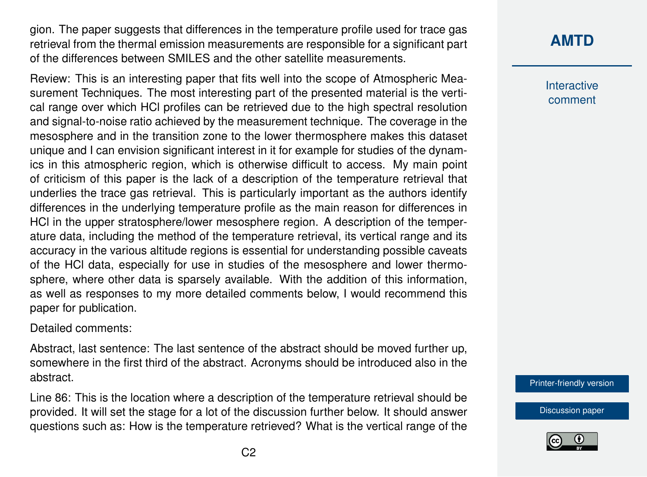gion. The paper suggests that differences in the temperature profile used for trace gas retrieval from the thermal emission measurements are responsible for a significant part of the differences between SMILES and the other satellite measurements.

Review: This is an interesting paper that fits well into the scope of Atmospheric Measurement Techniques. The most interesting part of the presented material is the vertical range over which HCl profiles can be retrieved due to the high spectral resolution and signal-to-noise ratio achieved by the measurement technique. The coverage in the mesosphere and in the transition zone to the lower thermosphere makes this dataset unique and I can envision significant interest in it for example for studies of the dynamics in this atmospheric region, which is otherwise difficult to access. My main point of criticism of this paper is the lack of a description of the temperature retrieval that underlies the trace gas retrieval. This is particularly important as the authors identify differences in the underlying temperature profile as the main reason for differences in HCl in the upper stratosphere/lower mesosphere region. A description of the temperature data, including the method of the temperature retrieval, its vertical range and its accuracy in the various altitude regions is essential for understanding possible caveats of the HCl data, especially for use in studies of the mesosphere and lower thermosphere, where other data is sparsely available. With the addition of this information, as well as responses to my more detailed comments below, I would recommend this paper for publication.

Detailed comments:

Abstract, last sentence: The last sentence of the abstract should be moved further up, somewhere in the first third of the abstract. Acronyms should be introduced also in the abstract.

Line 86: This is the location where a description of the temperature retrieval should be provided. It will set the stage for a lot of the discussion further below. It should answer questions such as: How is the temperature retrieved? What is the vertical range of the

## **[AMTD](https://www.atmos-meas-tech-discuss.net/)**

Interactive comment

[Printer-friendly version](https://www.atmos-meas-tech-discuss.net/amt-2020-105/amt-2020-105-RC1-print.pdf)

[Discussion paper](https://www.atmos-meas-tech-discuss.net/amt-2020-105)

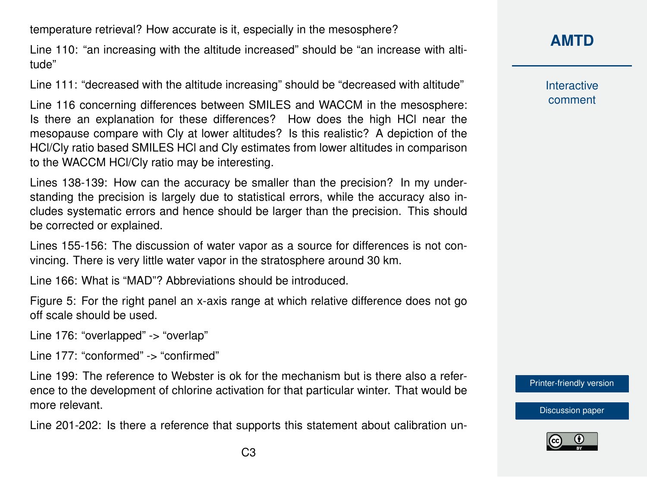temperature retrieval? How accurate is it, especially in the mesosphere?

Line 110: "an increasing with the altitude increased" should be "an increase with altitude"

Line 111: "decreased with the altitude increasing" should be "decreased with altitude"

Line 116 concerning differences between SMILES and WACCM in the mesosphere: Is there an explanation for these differences? How does the high HCl near the mesopause compare with Cly at lower altitudes? Is this realistic? A depiction of the HCl/Cly ratio based SMILES HCl and Cly estimates from lower altitudes in comparison to the WACCM HCl/Cly ratio may be interesting.

Lines 138-139: How can the accuracy be smaller than the precision? In my understanding the precision is largely due to statistical errors, while the accuracy also includes systematic errors and hence should be larger than the precision. This should be corrected or explained.

Lines 155-156: The discussion of water vapor as a source for differences is not convincing. There is very little water vapor in the stratosphere around 30 km.

Line 166: What is "MAD"? Abbreviations should be introduced.

Figure 5: For the right panel an x-axis range at which relative difference does not go off scale should be used.

Line 176: "overlapped" -> "overlap"

Line 177: "conformed" -> "confirmed"

Line 199: The reference to Webster is ok for the mechanism but is there also a reference to the development of chlorine activation for that particular winter. That would be more relevant.

Line 201-202: Is there a reference that supports this statement about calibration un-

**[AMTD](https://www.atmos-meas-tech-discuss.net/)**

**Interactive** comment

[Printer-friendly version](https://www.atmos-meas-tech-discuss.net/amt-2020-105/amt-2020-105-RC1-print.pdf)